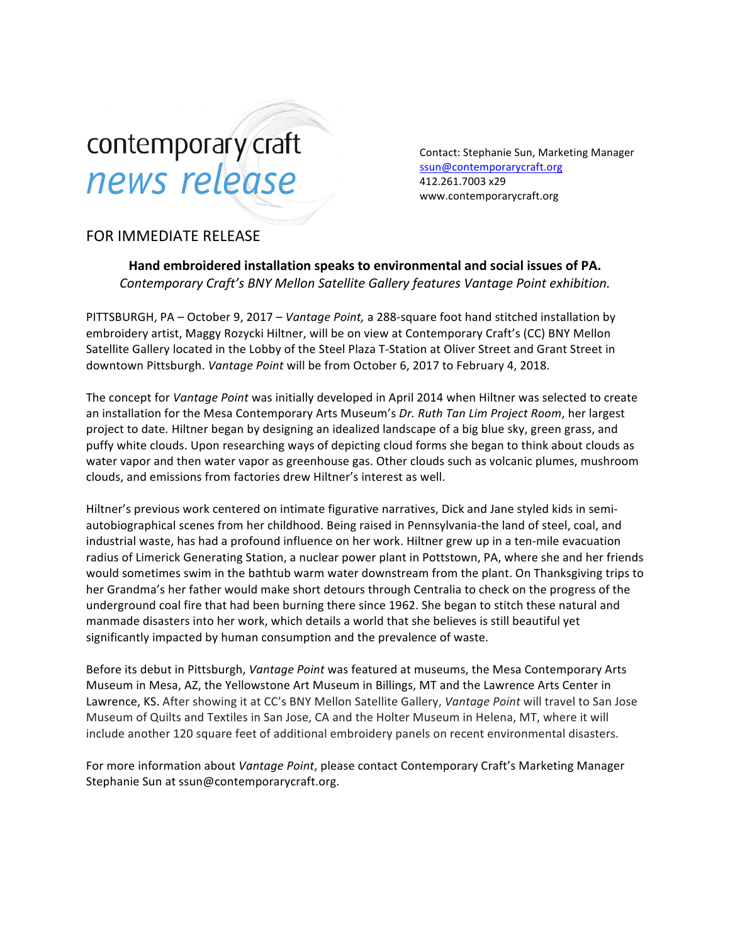# contemporary craft news release

Contact: Stephanie Sun, Marketing Manager ssun@contemporarycraft.org 412.261.7003 x29 www.contemporarycraft.org

## FOR IMMEDIATE RELEASE

**Hand embroidered installation speaks to environmental and social issues of PA.** *Contemporary Craft's BNY Mellon Satellite Gallery features Vantage Point exhibition.*

PITTSBURGH, PA – October 9, 2017 – *Vantage Point*, a 288-square foot hand stitched installation by embroidery artist, Maggy Rozycki Hiltner, will be on view at Contemporary Craft's (CC) BNY Mellon Satellite Gallery located in the Lobby of the Steel Plaza T-Station at Oliver Street and Grant Street in downtown Pittsburgh. *Vantage Point* will be from October 6, 2017 to February 4, 2018.

The concept for *Vantage Point* was initially developed in April 2014 when Hiltner was selected to create an installation for the Mesa Contemporary Arts Museum's Dr. Ruth Tan Lim Project Room, her largest project to date. Hiltner began by designing an idealized landscape of a big blue sky, green grass, and puffy white clouds. Upon researching ways of depicting cloud forms she began to think about clouds as water vapor and then water vapor as greenhouse gas. Other clouds such as volcanic plumes, mushroom clouds, and emissions from factories drew Hiltner's interest as well.

Hiltner's previous work centered on intimate figurative narratives, Dick and Jane styled kids in semiautobiographical scenes from her childhood. Being raised in Pennsylvania-the land of steel, coal, and industrial waste, has had a profound influence on her work. Hiltner grew up in a ten-mile evacuation radius of Limerick Generating Station, a nuclear power plant in Pottstown, PA, where she and her friends would sometimes swim in the bathtub warm water downstream from the plant. On Thanksgiving trips to her Grandma's her father would make short detours through Centralia to check on the progress of the underground coal fire that had been burning there since 1962. She began to stitch these natural and manmade disasters into her work, which details a world that she believes is still beautiful yet significantly impacted by human consumption and the prevalence of waste.

Before its debut in Pittsburgh, *Vantage Point* was featured at museums, the Mesa Contemporary Arts Museum in Mesa, AZ, the Yellowstone Art Museum in Billings, MT and the Lawrence Arts Center in Lawrence, KS. After showing it at CC's BNY Mellon Satellite Gallery, *Vantage Point* will travel to San Jose Museum of Quilts and Textiles in San Jose, CA and the Holter Museum in Helena, MT, where it will include another 120 square feet of additional embroidery panels on recent environmental disasters.

For more information about *Vantage Point*, please contact Contemporary Craft's Marketing Manager Stephanie Sun at ssun@contemporarycraft.org.